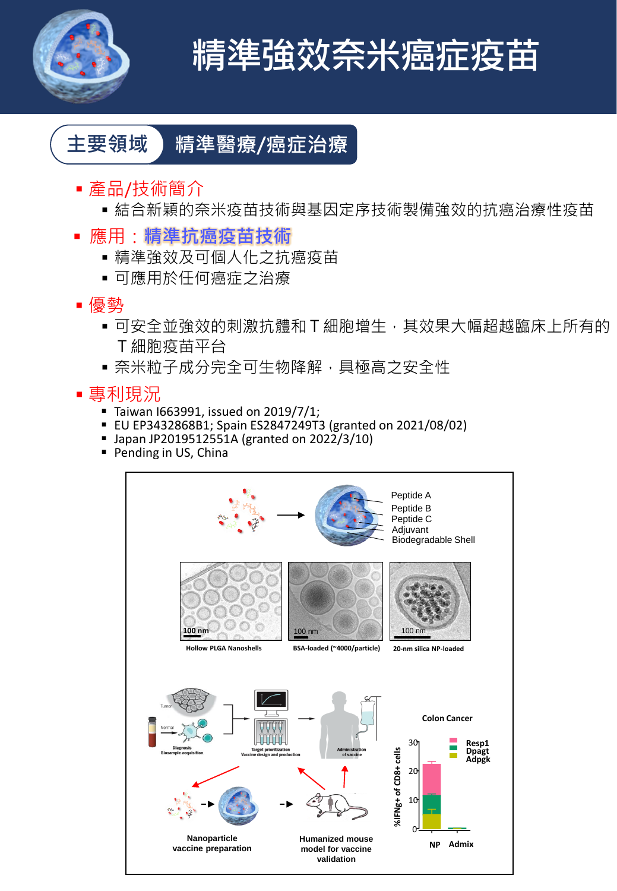

# **精準強效奈米癌症疫苗**

# **主要領域 精準醫療/癌症治療**

- 產品/技術簡介
	- 結合新穎的奈米疫苗技術與基因定序技術製備強效的抗癌治療性疫苗
- 應用:**精準抗癌疫苗技術**
	- 精準強效及可個人化之抗癌疫苗
	- 可應用於任何癌症之治療
- 優勢
	- 可安全並強效的刺激抗體和 T 細胞增生, 其效果大幅超越臨床上所有的 T細胞疫苗平台
	- ■奈米粒子成分完全可生物降解,具極高之安全性
- 專利現況
	- Taiwan I663991, issued on 2019/7/1;
	- EU EP3432868B1; Spain ES2847249T3 (granted on 2021/08/02)
	- Japan JP2019512551A (granted on 2022/3/10)
	- Pending in US, China

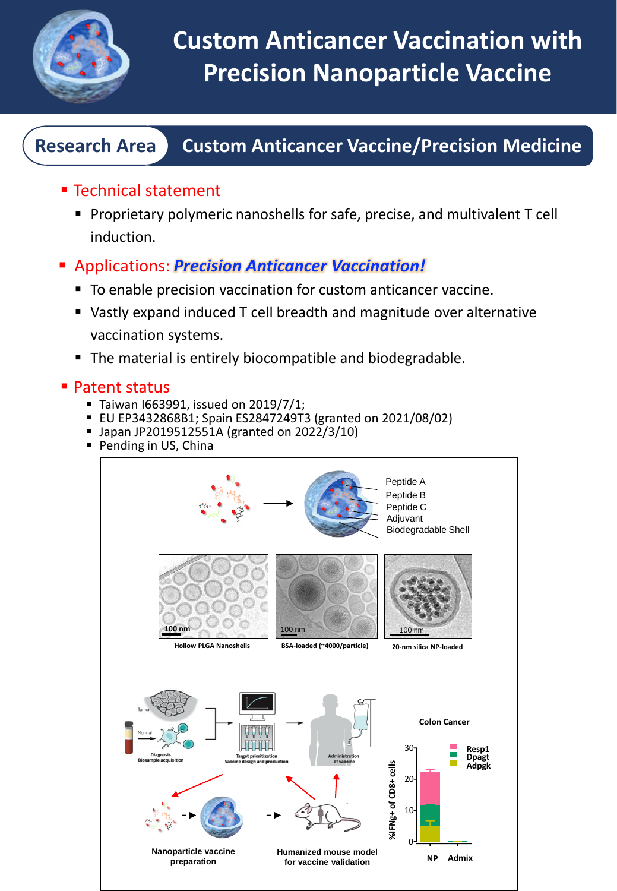

### **Research Area Custom Anticancer Vaccine/Precision Medicine**

- Technical statement
	- Proprietary polymeric nanoshells for safe, precise, and multivalent T cell induction.
- Applications: *Precision Anticancer Vaccination!*
	- To enable precision vaccination for custom anticancer vaccine.
	- Vastly expand induced T cell breadth and magnitude over alternative vaccination systems.
	- The material is entirely biocompatible and biodegradable.

#### ■ Patent status

- Taiwan I663991, issued on 2019/7/1;
- EU EP3432868B1; Spain ES2847249T3 (granted on 2021/08/02)
- $\blacksquare$  Japan JP2019512551A (granted on 2022/3/10)
- Pending in US, China